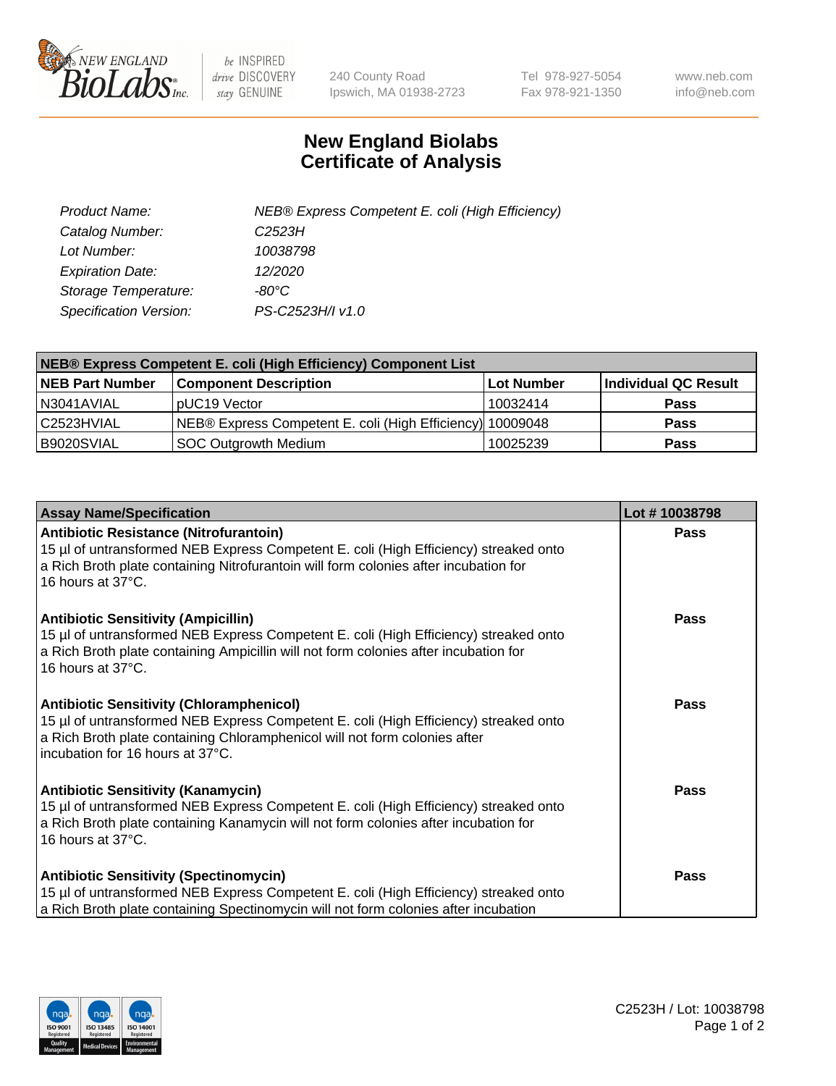

 $be$  INSPIRED drive DISCOVERY stay GENUINE

240 County Road Ipswich, MA 01938-2723 Tel 978-927-5054 Fax 978-921-1350 www.neb.com info@neb.com

## **New England Biolabs Certificate of Analysis**

| Product Name:           | NEB® Express Competent E. coli (High Efficiency) |
|-------------------------|--------------------------------------------------|
| Catalog Number:         | C <sub>2523</sub> H                              |
| Lot Number:             | 10038798                                         |
| <b>Expiration Date:</b> | 12/2020                                          |
| Storage Temperature:    | -80°C                                            |
| Specification Version:  | PS-C2523H/I v1.0                                 |

| <b>NEB® Express Competent E. coli (High Efficiency) Component List</b> |                                                           |            |                      |  |
|------------------------------------------------------------------------|-----------------------------------------------------------|------------|----------------------|--|
| <b>NEB Part Number</b>                                                 | <b>Component Description</b>                              | Lot Number | Individual QC Result |  |
| N3041AVIAL                                                             | pUC19 Vector                                              | 10032414   | <b>Pass</b>          |  |
| C2523HVIAL                                                             | NEB® Express Competent E. coli (High Efficiency) 10009048 |            | <b>Pass</b>          |  |
| B9020SVIAL                                                             | SOC Outgrowth Medium                                      | 10025239   | <b>Pass</b>          |  |

| <b>Assay Name/Specification</b>                                                                                                                                                                                                                           | Lot #10038798 |
|-----------------------------------------------------------------------------------------------------------------------------------------------------------------------------------------------------------------------------------------------------------|---------------|
| <b>Antibiotic Resistance (Nitrofurantoin)</b><br>15 µl of untransformed NEB Express Competent E. coli (High Efficiency) streaked onto<br>a Rich Broth plate containing Nitrofurantoin will form colonies after incubation for<br>16 hours at 37°C.        | Pass          |
| <b>Antibiotic Sensitivity (Ampicillin)</b><br>15 µl of untransformed NEB Express Competent E. coli (High Efficiency) streaked onto<br>a Rich Broth plate containing Ampicillin will not form colonies after incubation for<br>16 hours at 37°C.           | Pass          |
| <b>Antibiotic Sensitivity (Chloramphenicol)</b><br>15 µl of untransformed NEB Express Competent E. coli (High Efficiency) streaked onto<br>a Rich Broth plate containing Chloramphenicol will not form colonies after<br>incubation for 16 hours at 37°C. | Pass          |
| <b>Antibiotic Sensitivity (Kanamycin)</b><br>15 µl of untransformed NEB Express Competent E. coli (High Efficiency) streaked onto<br>a Rich Broth plate containing Kanamycin will not form colonies after incubation for<br>16 hours at 37°C.             | <b>Pass</b>   |
| <b>Antibiotic Sensitivity (Spectinomycin)</b><br>15 µl of untransformed NEB Express Competent E. coli (High Efficiency) streaked onto<br>a Rich Broth plate containing Spectinomycin will not form colonies after incubation                              | Pass          |